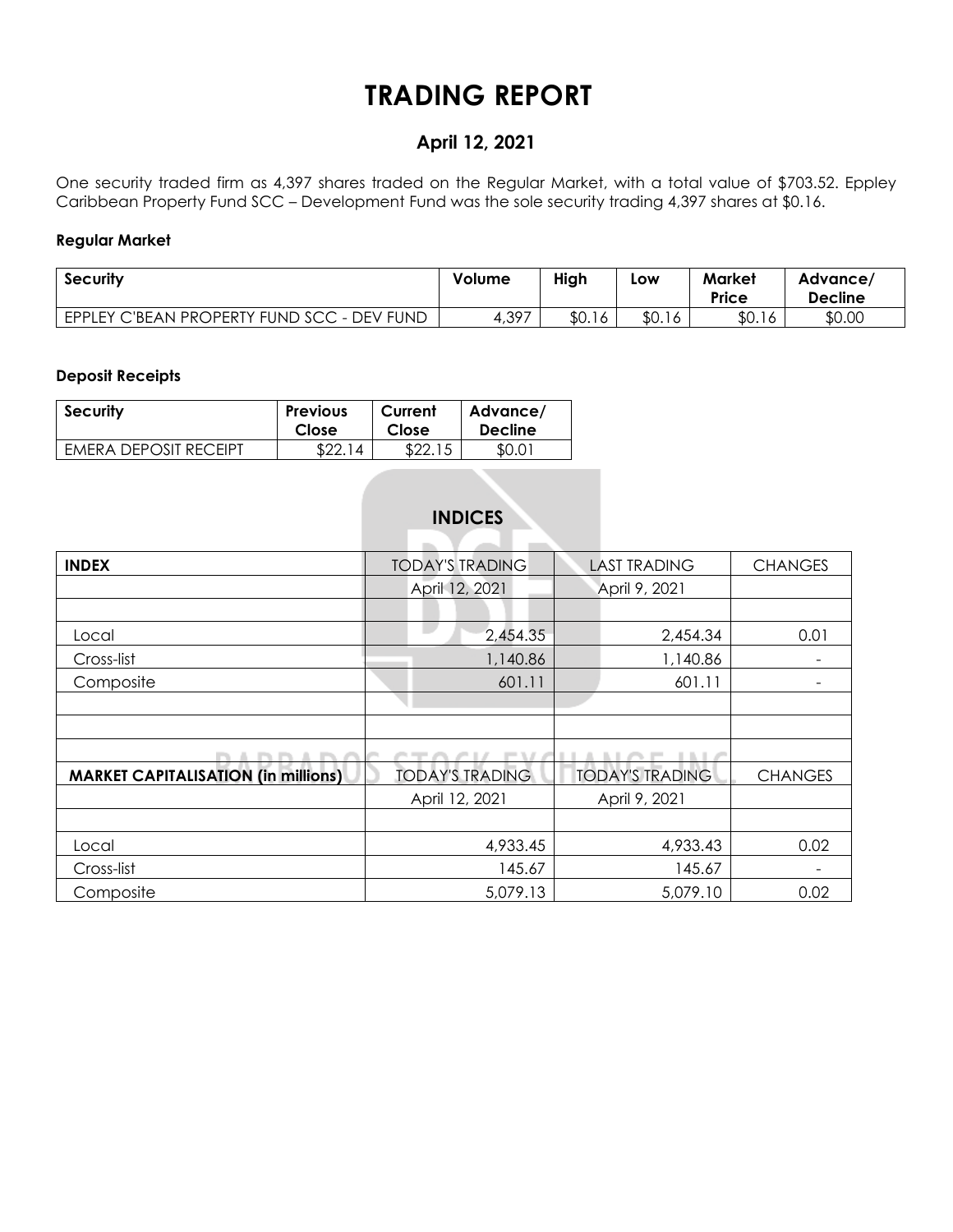## **TRADING REPORT**

### **April 12, 2021**

One security traded firm as 4,397 shares traded on the Regular Market, with a total value of \$703.52. Eppley Caribbean Property Fund SCC – Development Fund was the sole security trading 4,397 shares at \$0.16.

#### **Regular Market**

| <b>Security</b>                            | Volume | High   | Low    | Market<br><b>Price</b> | Advance/<br><b>Decline</b> |  |
|--------------------------------------------|--------|--------|--------|------------------------|----------------------------|--|
| EPPLEY C'BEAN PROPERTY FUND SCC - DEV FUND | 4,397  | \$0.16 | \$0.16 | \$0.16                 | \$0.00                     |  |

#### **Deposit Receipts**

| <b>Security</b>              | <b>Previous</b> | Current | Advance/       |
|------------------------------|-----------------|---------|----------------|
|                              | Close           | Close   | <b>Decline</b> |
| <b>FMERA DEPOSIT RECEIPT</b> | \$22.<br>14     | \$22.   | \$0.01         |

### **INDICES**

| <b>INDEX</b>                               | <b>TODAY'S TRADING</b> | <b>LAST TRADING</b>    | <b>CHANGES</b> |
|--------------------------------------------|------------------------|------------------------|----------------|
|                                            | April 12, 2021         | April 9, 2021          |                |
|                                            |                        |                        |                |
| Local                                      | 2,454.35               | 2,454.34               | 0.01           |
| Cross-list                                 | 1,140.86               | 1,140.86               |                |
| Composite                                  | 601.11                 | 601.11                 |                |
|                                            |                        |                        |                |
|                                            |                        |                        |                |
|                                            |                        |                        |                |
| <b>MARKET CAPITALISATION (in millions)</b> | <b>TODAY'S TRADING</b> | <b>TODAY'S TRADING</b> | <b>CHANGES</b> |
|                                            | April 12, 2021         | April 9, 2021          |                |
|                                            |                        |                        |                |
| Local                                      | 4,933.45               | 4,933.43               | 0.02           |
| Cross-list                                 | 145.67                 | 145.67                 |                |
| Composite                                  | 5,079.13               | 5,079.10               | 0.02           |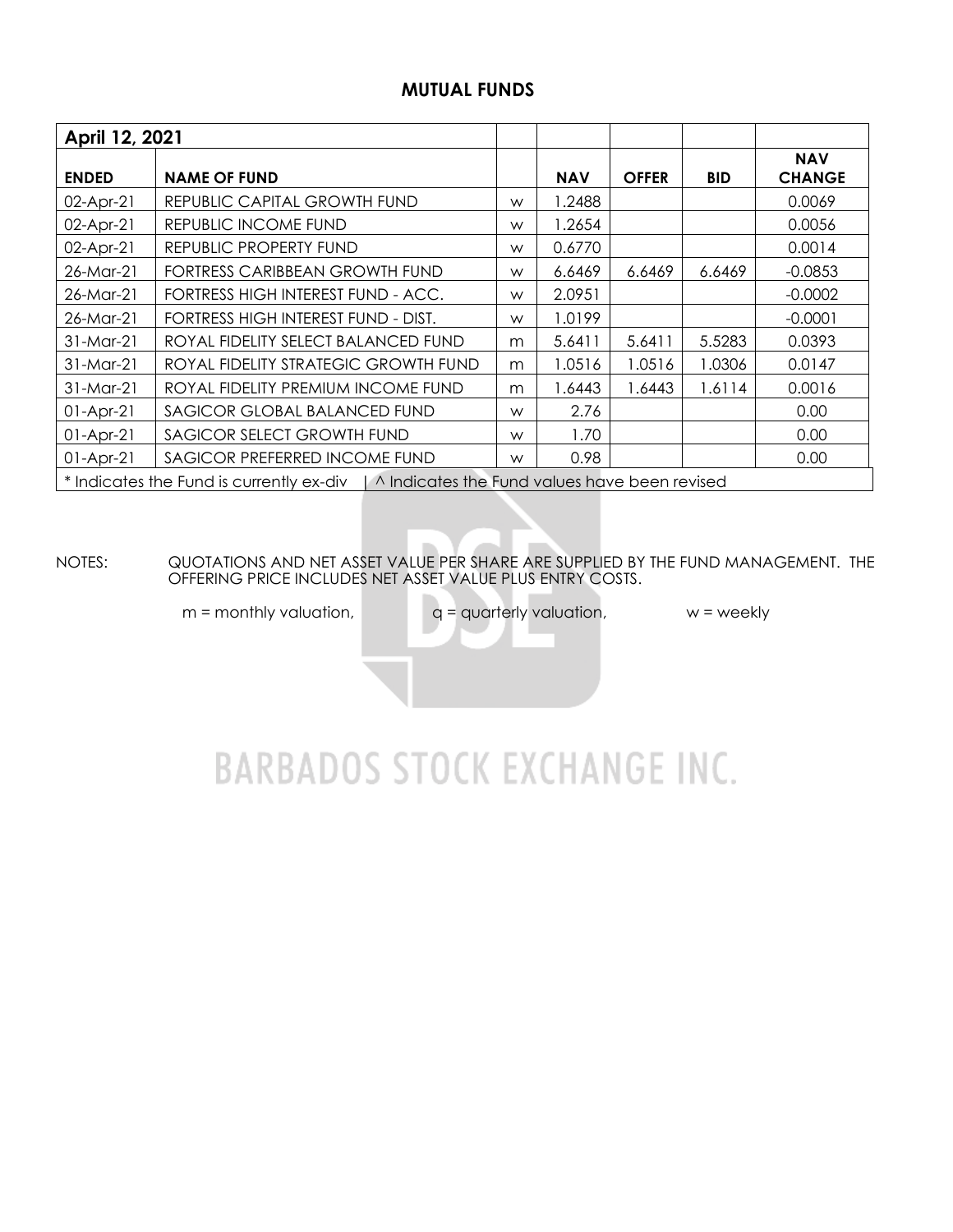#### **MUTUAL FUNDS**

| April 12, 2021 |                                                                                          |   |            |              |            |                             |  |  |  |  |  |
|----------------|------------------------------------------------------------------------------------------|---|------------|--------------|------------|-----------------------------|--|--|--|--|--|
| <b>ENDED</b>   | <b>NAME OF FUND</b>                                                                      |   | <b>NAV</b> | <b>OFFER</b> | <b>BID</b> | <b>NAV</b><br><b>CHANGE</b> |  |  |  |  |  |
| 02-Apr-21      | REPUBLIC CAPITAL GROWTH FUND                                                             | W | .2488      |              |            | 0.0069                      |  |  |  |  |  |
| 02-Apr-21      | REPUBLIC INCOME FUND                                                                     | W | 1.2654     |              |            | 0.0056                      |  |  |  |  |  |
| 02-Apr-21      | REPUBLIC PROPERTY FUND                                                                   | W | 0.6770     |              |            | 0.0014                      |  |  |  |  |  |
| 26-Mar-21      | FORTRESS CARIBBEAN GROWTH FUND                                                           | W | 6.6469     | 6.6469       | 6.6469     | $-0.0853$                   |  |  |  |  |  |
| 26-Mar-21      | FORTRESS HIGH INTEREST FUND - ACC.                                                       | W | 2.0951     |              |            | $-0.0002$                   |  |  |  |  |  |
| 26-Mar-21      | FORTRESS HIGH INTEREST FUND - DIST.                                                      | W | 1.0199     |              |            | $-0.0001$                   |  |  |  |  |  |
| $31$ -Mar-21   | ROYAL FIDELITY SELECT BALANCED FUND                                                      | m | 5.6411     | 5.6411       | 5.5283     | 0.0393                      |  |  |  |  |  |
| 31-Mar-21      | ROYAL FIDELITY STRATEGIC GROWTH FUND                                                     | m | 1.0516     | 1.0516       | 1.0306     | 0.0147                      |  |  |  |  |  |
| $31-Mar-21$    | ROYAL FIDELITY PREMIUM INCOME FUND                                                       | m | 6443. ا    | 1.6443       | 1.6114     | 0.0016                      |  |  |  |  |  |
| $01-Apr-21$    | SAGICOR GLOBAL BALANCED FUND                                                             | W | 2.76       |              |            | 0.00                        |  |  |  |  |  |
| $01-Apr-21$    | SAGICOR SELECT GROWTH FUND                                                               |   | 1.70       |              |            | 0.00                        |  |  |  |  |  |
| $01-Apr-21$    | SAGICOR PREFERRED INCOME FUND                                                            | W | 0.98       |              |            | 0.00                        |  |  |  |  |  |
|                | * Indicates the Fund is currently ex-div   ^ Indicates the Fund values have been revised |   |            |              |            |                             |  |  |  |  |  |

NOTES: QUOTATIONS AND NET ASSET VALUE PER SHARE ARE SUPPLIED BY THE FUND MANAGEMENT. THE OFFERING PRICE INCLUDES NET ASSET VALUE PLUS ENTRY COSTS.

 $m =$  monthly valuation,  $q =$  quarterly valuation,  $w =$  weekly

# **BARBADOS STOCK EXCHANGE INC.**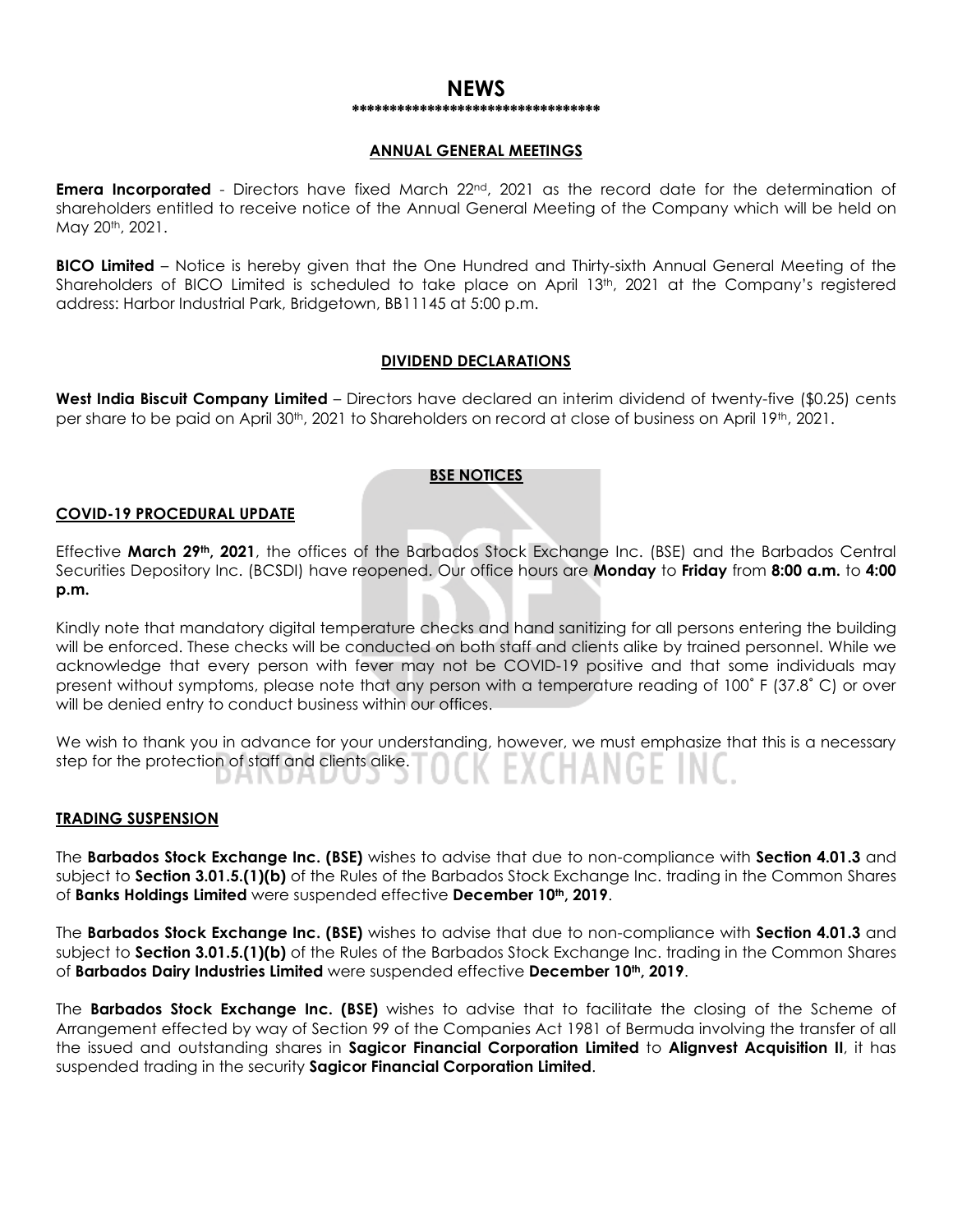#### **NEWS \*\*\*\*\*\*\*\*\*\*\*\*\*\*\*\*\*\*\*\*\*\*\*\*\*\*\*\*\*\*\*\*\***

#### **ANNUAL GENERAL MEETINGS**

**Emera Incorporated** - Directors have fixed March 22<sup>nd</sup>, 2021 as the record date for the determination of shareholders entitled to receive notice of the Annual General Meeting of the Company which will be held on May 20th, 2021.

**BICO Limited** – Notice is hereby given that the One Hundred and Thirty-sixth Annual General Meeting of the Shareholders of BICO Limited is scheduled to take place on April 13th, 2021 at the Company's registered address: Harbor Industrial Park, Bridgetown, BB11145 at 5:00 p.m.

#### **DIVIDEND DECLARATIONS**

**West India Biscuit Company Limited** – Directors have declared an interim dividend of twenty-five (\$0.25) cents per share to be paid on April 30<sup>th</sup>, 2021 to Shareholders on record at close of business on April 19<sup>th</sup>, 2021.

#### **BSE NOTICES**

#### **COVID-19 PROCEDURAL UPDATE**

Effective **March 29th, 2021**, the offices of the Barbados Stock Exchange Inc. (BSE) and the Barbados Central Securities Depository Inc. (BCSDI) have reopened. Our office hours are **Monday** to **Friday** from **8:00 a.m.** to **4:00 p.m.**

Kindly note that mandatory digital temperature checks and hand sanitizing for all persons entering the building will be enforced. These checks will be conducted on both staff and clients alike by trained personnel. While we acknowledge that every person with fever may not be COVID-19 positive and that some individuals may present without symptoms, please note that any person with a temperature reading of 100˚ F (37.8˚ C) or over will be denied entry to conduct business within our offices.

We wish to thank you in advance for your understanding, however, we must emphasize that this is a necessary step for the protection of staff and clients alike. (EXCHANGET DANDAD uu u

#### **TRADING SUSPENSION**

The **Barbados Stock Exchange Inc. (BSE)** wishes to advise that due to non-compliance with **Section 4.01.3** and subject to **Section 3.01.5.(1)(b)** of the Rules of the Barbados Stock Exchange Inc. trading in the Common Shares of **Banks Holdings Limited** were suspended effective **December 10th, 2019**.

The **Barbados Stock Exchange Inc. (BSE)** wishes to advise that due to non-compliance with **Section 4.01.3** and subject to **Section 3.01.5.(1)(b)** of the Rules of the Barbados Stock Exchange Inc. trading in the Common Shares of **Barbados Dairy Industries Limited** were suspended effective **December 10th, 2019**.

The **Barbados Stock Exchange Inc. (BSE)** wishes to advise that to facilitate the closing of the Scheme of Arrangement effected by way of Section 99 of the Companies Act 1981 of Bermuda involving the transfer of all the issued and outstanding shares in **Sagicor Financial Corporation Limited** to **Alignvest Acquisition II**, it has suspended trading in the security **Sagicor Financial Corporation Limited**.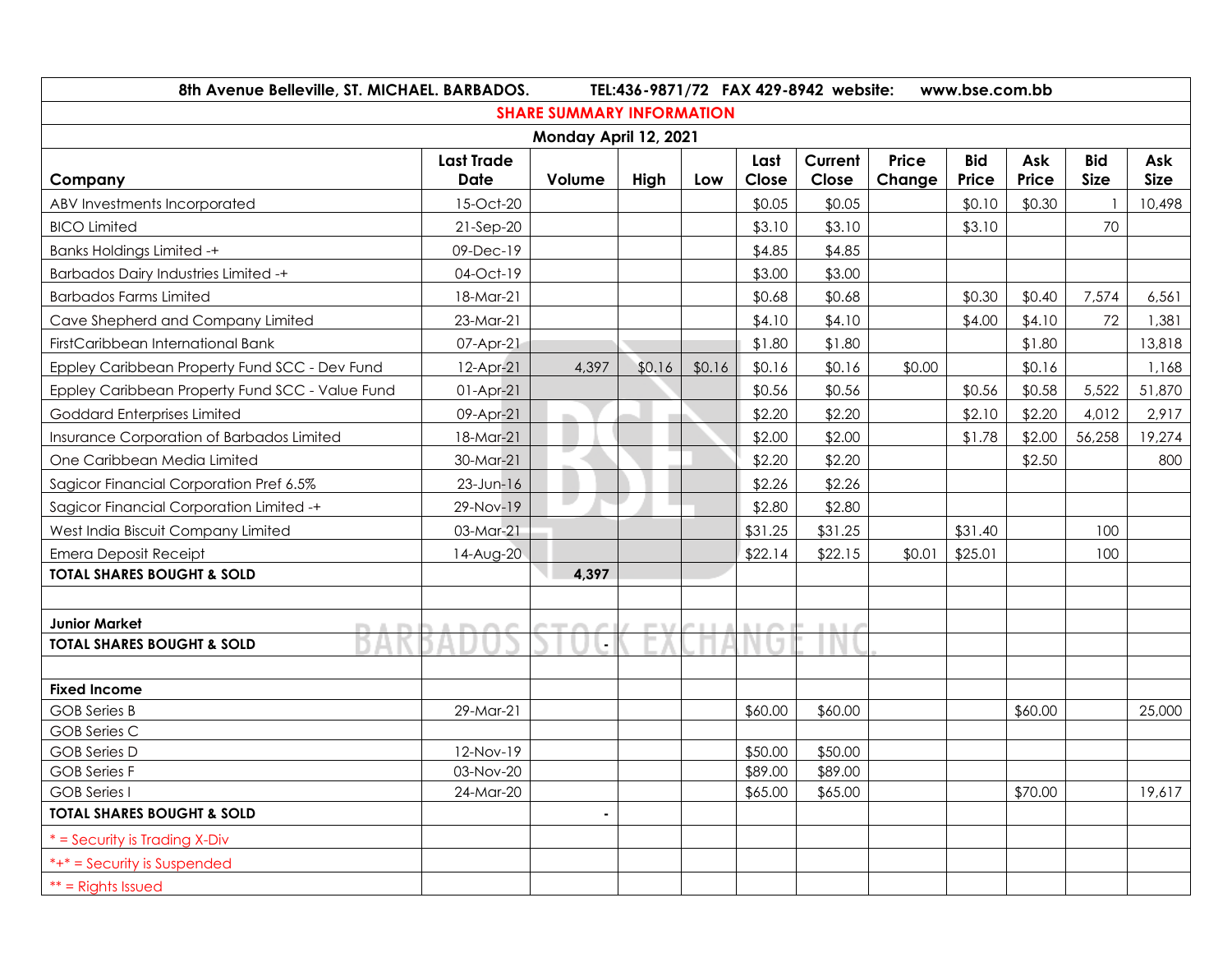| 8th Avenue Belleville, ST. MICHAEL. BARBADOS.                | TEL:436-9871/72 FAX 429-8942 website:<br>www.bse.com.bb |            |        |        |         |              |        |            |         |             |             |
|--------------------------------------------------------------|---------------------------------------------------------|------------|--------|--------|---------|--------------|--------|------------|---------|-------------|-------------|
|                                                              | <b>SHARE SUMMARY INFORMATION</b>                        |            |        |        |         |              |        |            |         |             |             |
| Monday April 12, 2021                                        |                                                         |            |        |        |         |              |        |            |         |             |             |
|                                                              | <b>Last Trade</b>                                       |            |        |        | Last    | Current      | Price  | <b>Bid</b> | Ask     | <b>Bid</b>  | Ask         |
| Company                                                      | <b>Date</b>                                             | Volume     | High   | Low    | Close   | Close        | Change | Price      | Price   | <b>Size</b> | <b>Size</b> |
| ABV Investments Incorporated                                 | 15-Oct-20                                               |            |        |        | \$0.05  | \$0.05       |        | \$0.10     | \$0.30  |             | 10,498      |
| <b>BICO Limited</b>                                          | 21-Sep-20                                               |            |        |        | \$3.10  | \$3.10       |        | \$3.10     |         | 70          |             |
| <b>Banks Holdings Limited -+</b>                             | 09-Dec-19                                               |            |        |        | \$4.85  | \$4.85       |        |            |         |             |             |
| <b>Barbados Dairy Industries Limited -+</b>                  | 04-Oct-19                                               |            |        |        | \$3.00  | \$3.00       |        |            |         |             |             |
| <b>Barbados Farms Limited</b>                                | 18-Mar-21                                               |            |        |        | \$0.68  | \$0.68       |        | \$0.30     | \$0.40  | 7,574       | 6,561       |
| Cave Shepherd and Company Limited                            | 23-Mar-21                                               |            |        |        | \$4.10  | \$4.10       |        | \$4.00     | \$4.10  | 72          | 1,381       |
| FirstCaribbean International Bank                            | 07-Apr-21                                               |            |        |        | \$1.80  | \$1.80       |        |            | \$1.80  |             | 13,818      |
| Eppley Caribbean Property Fund SCC - Dev Fund                | 12-Apr-21                                               | 4,397      | \$0.16 | \$0.16 | \$0.16  | \$0.16       | \$0.00 |            | \$0.16  |             | 1,168       |
| Eppley Caribbean Property Fund SCC - Value Fund              | $01-Apr-21$                                             |            |        |        | \$0.56  | \$0.56       |        | \$0.56     | \$0.58  | 5,522       | 51,870      |
| <b>Goddard Enterprises Limited</b>                           | 09-Apr-21                                               | <b>The</b> |        |        | \$2.20  | \$2.20       |        | \$2.10     | \$2.20  | 4,012       | 2,917       |
| Insurance Corporation of Barbados Limited                    | 18-Mar-21                                               |            |        |        | \$2.00  | \$2.00       |        | \$1.78     | \$2.00  | 56,258      | 19,274      |
| One Caribbean Media Limited                                  | 30-Mar-21                                               |            |        |        | \$2.20  | \$2.20       |        |            | \$2.50  |             | 800         |
| Sagicor Financial Corporation Pref 6.5%                      | $23$ -Jun-16                                            |            |        |        | \$2.26  | \$2.26       |        |            |         |             |             |
| Sagicor Financial Corporation Limited -+                     | 29-Nov-19                                               |            |        |        | \$2.80  | \$2.80       |        |            |         |             |             |
| West India Biscuit Company Limited                           | 03-Mar-21                                               |            |        |        | \$31.25 | \$31.25      |        | \$31.40    |         | 100         |             |
| <b>Emera Deposit Receipt</b>                                 | 14-Aug-20                                               |            |        |        | \$22.14 | \$22.15      | \$0.01 | \$25.01    |         | 100         |             |
| <b>TOTAL SHARES BOUGHT &amp; SOLD</b>                        |                                                         | 4,397      |        |        |         |              |        |            |         |             |             |
|                                                              |                                                         |            |        |        |         |              |        |            |         |             |             |
| <b>Junior Market</b><br><b>COLLA</b><br><b>The State</b>     |                                                         | ---        | - 1    |        |         | <b>LIGHT</b> |        |            |         |             |             |
| <b>TOTAL SHARES BOUGHT &amp; SOLD</b>                        |                                                         |            |        |        |         |              |        |            |         |             |             |
|                                                              |                                                         |            |        |        |         |              |        |            |         |             |             |
| <b>Fixed Income</b>                                          |                                                         |            |        |        |         |              |        |            |         |             |             |
| <b>GOB</b> Series B                                          | 29-Mar-21                                               |            |        |        | \$60.00 | \$60.00      |        |            | \$60.00 |             | 25,000      |
| <b>GOB Series C</b>                                          |                                                         |            |        |        |         |              |        |            |         |             |             |
| <b>GOB Series D</b>                                          | 12-Nov-19                                               |            |        |        | \$50.00 | \$50.00      |        |            |         |             |             |
| <b>GOB</b> Series F                                          | 03-Nov-20                                               |            |        |        | \$89.00 | \$89.00      |        |            |         |             |             |
| <b>GOB</b> Series I<br><b>TOTAL SHARES BOUGHT &amp; SOLD</b> | 24-Mar-20                                               |            |        |        | \$65.00 | \$65.00      |        |            | \$70.00 |             | 19,617      |
|                                                              |                                                         |            |        |        |         |              |        |            |         |             |             |
| $*$ = Security is Trading X-Div                              |                                                         |            |        |        |         |              |        |            |         |             |             |
| *+* = Security is Suspended                                  |                                                         |            |        |        |         |              |        |            |         |             |             |
| $**$ = Rights Issued                                         |                                                         |            |        |        |         |              |        |            |         |             |             |